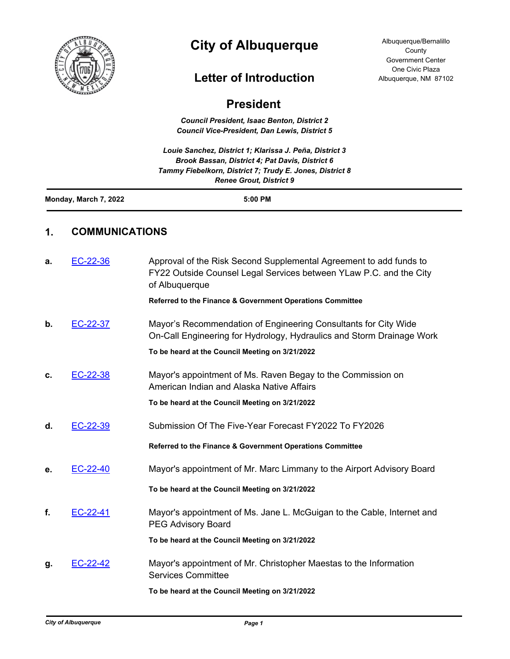

# **City of Albuquerque**

## **Letter of Introduction**

| <b>President</b>      |                       |                                                                                                                                                                                                          |  |
|-----------------------|-----------------------|----------------------------------------------------------------------------------------------------------------------------------------------------------------------------------------------------------|--|
|                       |                       | <b>Council President, Isaac Benton, District 2</b><br><b>Council Vice-President, Dan Lewis, District 5</b>                                                                                               |  |
|                       |                       | Louie Sanchez, District 1; Klarissa J. Peña, District 3<br>Brook Bassan, District 4; Pat Davis, District 6<br>Tammy Fiebelkorn, District 7; Trudy E. Jones, District 8<br><b>Renee Grout, District 9</b> |  |
| Monday, March 7, 2022 |                       | 5:00 PM                                                                                                                                                                                                  |  |
| 1.                    | <b>COMMUNICATIONS</b> |                                                                                                                                                                                                          |  |
| а.                    | EC-22-36              | Approval of the Risk Second Supplemental Agreement to add funds to<br>FY22 Outside Counsel Legal Services between YLaw P.C. and the City<br>of Albuquerque                                               |  |
|                       |                       | Referred to the Finance & Government Operations Committee                                                                                                                                                |  |
| b.                    | EC-22-37              | Mayor's Recommendation of Engineering Consultants for City Wide<br>On-Call Engineering for Hydrology, Hydraulics and Storm Drainage Work                                                                 |  |
|                       |                       | To be heard at the Council Meeting on 3/21/2022                                                                                                                                                          |  |
| c.                    | EC-22-38              | Mayor's appointment of Ms. Raven Begay to the Commission on<br>American Indian and Alaska Native Affairs                                                                                                 |  |
|                       |                       | To be heard at the Council Meeting on 3/21/2022                                                                                                                                                          |  |
| d.                    | EC-22-39              | Submission Of The Five-Year Forecast FY2022 To FY2026                                                                                                                                                    |  |
|                       |                       | Referred to the Finance & Government Operations Committee                                                                                                                                                |  |
| е.                    | EC-22-40              | Mayor's appointment of Mr. Marc Limmany to the Airport Advisory Board                                                                                                                                    |  |
|                       |                       | To be heard at the Council Meeting on 3/21/2022                                                                                                                                                          |  |
| f.                    | EC-22-41              | Mayor's appointment of Ms. Jane L. McGuigan to the Cable, Internet and<br><b>PEG Advisory Board</b>                                                                                                      |  |
|                       |                       | To be heard at the Council Meeting on 3/21/2022                                                                                                                                                          |  |
| g.                    | EC-22-42              | Mayor's appointment of Mr. Christopher Maestas to the Information<br><b>Services Committee</b>                                                                                                           |  |
|                       |                       | To be heard at the Council Meeting on 3/21/2022                                                                                                                                                          |  |